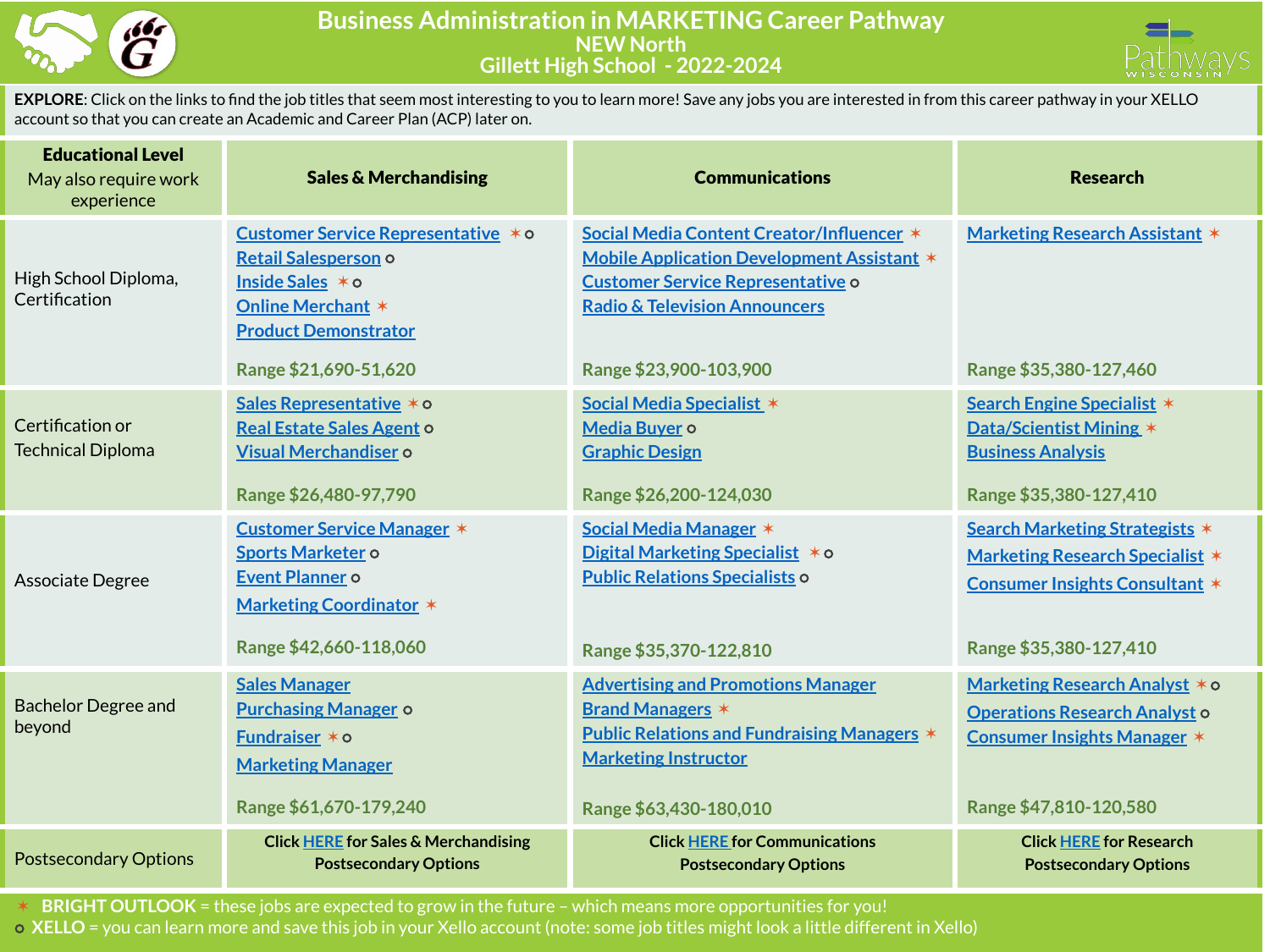



**EXPLORE**: Click on the links to find the job titles that seem most interesting to you to learn more! Save any jobs you are interested in from this career pathway in your XELLO account so that you can create an Academic and Career Plan (ACP) later on.

| <b>Educational Level</b><br>May also require work<br>experience | <b>Sales &amp; Merchandising</b>                                                                                                                                    | <b>Communications</b>                                                                                                                                                                                     | <b>Research</b>                                                                                                                                    |
|-----------------------------------------------------------------|---------------------------------------------------------------------------------------------------------------------------------------------------------------------|-----------------------------------------------------------------------------------------------------------------------------------------------------------------------------------------------------------|----------------------------------------------------------------------------------------------------------------------------------------------------|
| High School Diploma,<br>Certification                           | Customer Service Representative * 0<br>Retail Salesperson o<br>Inside Sales * o<br><b>Online Merchant *</b><br><b>Product Demonstrator</b><br>Range \$21,690-51,620 | Social Media Content Creator/Influencer *<br>Mobile Application Development Assistant *<br><b>Customer Service Representative o</b><br><b>Radio &amp; Television Announcers</b><br>Range \$23,900-103,900 | <b>Marketing Research Assistant *</b><br>Range \$35,380-127,460                                                                                    |
| Certification or<br><b>Technical Diploma</b>                    | Sales Representative * o<br>Real Estate Sales Agent o<br><b>Visual Merchandiser o</b><br>Range \$26,480-97,790                                                      | Social Media Specialist *<br>Media Buyer o<br><b>Graphic Design</b><br>Range \$26,200-124,030                                                                                                             | Search Engine Specialist *<br>Data/Scientist Mining *<br><b>Business Analysis</b><br>Range \$35,380-127,410                                        |
| Associate Degree                                                | <b>Customer Service Manager *</b><br>Sports Marketer o<br>Event Planner o<br><b>Marketing Coordinator *</b><br>Range \$42,660-118,060                               | Social Media Manager *<br>Digital Marketing Specialist * 0<br><b>Public Relations Specialists o</b><br>Range \$35,370-122,810                                                                             | <b>Search Marketing Strategists *</b><br><b>Marketing Research Specialist *</b><br><b>Consumer Insights Consultant *</b><br>Range \$35,380-127,410 |
| <b>Bachelor Degree and</b><br>beyond                            | <b>Sales Manager</b><br><b>Purchasing Manager o</b><br>Fundraiser $*$ $\circ$<br><b>Marketing Manager</b><br>Range \$61,670-179,240                                 | <b>Advertising and Promotions Manager</b><br><b>Brand Managers *</b><br><b>Public Relations and Fundraising Managers *</b><br><b>Marketing Instructor</b><br>Range \$63,430-180,010                       | Marketing Research Analyst * o<br><b>Operations Research Analyst o</b><br><b>Consumer Insights Manager *</b><br>Range \$47,810-120,580             |
| <b>Postsecondary Options</b>                                    | <b>Click HERE for Sales &amp; Merchandising</b><br><b>Postsecondary Options</b>                                                                                     | <b>Click HERE for Communications</b><br><b>Postsecondary Options</b>                                                                                                                                      | <b>Click HERE for Research</b><br><b>Postsecondary Options</b>                                                                                     |

✶ **BRIGHT OUTLOOK** = these jobs are expected to grow in the future – which means more opportunities for you! ⭘ **XELLO** = you can learn more and save this job in your Xello account (note: some job titles might look a little different in Xello)